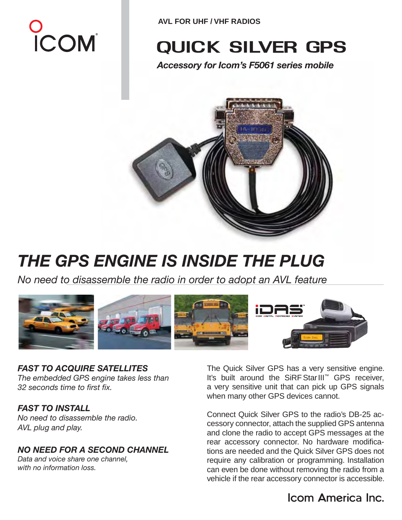# **D**<br>ICOM

**AVL FOR UHF / VHF RADIOS**

# quick silver gps

*Accessory for Icom's F5061 series mobile*



# *THE GPS ENGINE IS INSIDE THE PLUG*

*No need to disassemble the radio in order to adopt an AVL feature* 



*FAST TO ACQUIRE SATELLITES The embedded GPS engine takes less than 32 seconds time to first fix.*

#### *FAST TO INSTALL*

*No need to disassemble the radio. AVL plug and play.* 

#### *NO NEED FOR A SECOND CHANNEL*

*Data and voice share one channel, with no information loss.* 

The Quick Silver GPS has a very sensitive engine. It's built around the SiRF StarIII™ GPS receiver, a very sensitive unit that can pick up GPS signals when many other GPS devices cannot.

Connect Quick Silver GPS to the radio's DB-25 accessory connector, attach the supplied GPS antenna and clone the radio to accept GPS messages at the rear accessory connector. No hardware modifications are needed and the Quick Silver GPS does not require any calibration or programming. Installation can even be done without removing the radio from a vehicle if the rear accessory connector is accessible.

### Icom America Inc.